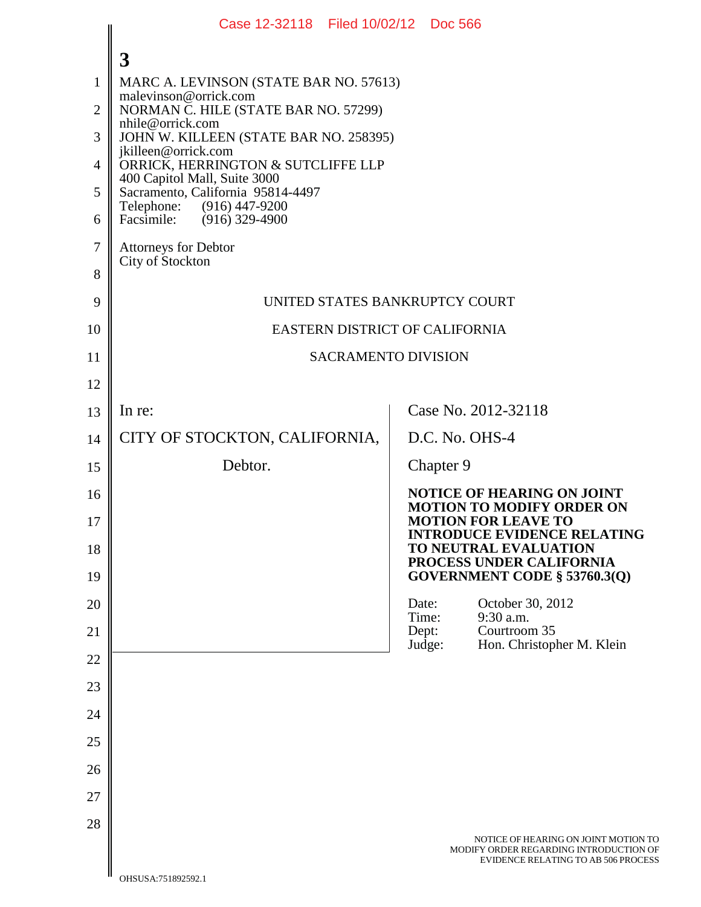|              | Case 12-32118 Filed 10/02/12 Doc 566                                                                                             |                                                                                                                       |  |  |  |  |
|--------------|----------------------------------------------------------------------------------------------------------------------------------|-----------------------------------------------------------------------------------------------------------------------|--|--|--|--|
|              | 3                                                                                                                                |                                                                                                                       |  |  |  |  |
| $\mathbf{1}$ | MARC A. LEVINSON (STATE BAR NO. 57613)                                                                                           |                                                                                                                       |  |  |  |  |
| 2            | malevinson@orrick.com<br>NORMAN C. HILE (STATE BAR NO. 57299)                                                                    |                                                                                                                       |  |  |  |  |
| 3            | nhile@orrick.com<br>JOHN W. KILLEEN (STATE BAR NO. 258395)                                                                       |                                                                                                                       |  |  |  |  |
| 4            | jkilleen@orrick.com<br>ORRICK, HERRINGTON & SUTCLIFFE LLP                                                                        |                                                                                                                       |  |  |  |  |
| 5            | 400 Capitol Mall, Suite 3000<br>Sacramento, California 95814-4497<br>Telephone: (916) 447-9200<br>Facsimile:<br>$(916)$ 329-4900 |                                                                                                                       |  |  |  |  |
| 6            |                                                                                                                                  |                                                                                                                       |  |  |  |  |
| 7            | <b>Attorneys for Debtor</b>                                                                                                      |                                                                                                                       |  |  |  |  |
| 8            | City of Stockton                                                                                                                 |                                                                                                                       |  |  |  |  |
| 9            | UNITED STATES BANKRUPTCY COURT                                                                                                   |                                                                                                                       |  |  |  |  |
| 10           | EASTERN DISTRICT OF CALIFORNIA                                                                                                   |                                                                                                                       |  |  |  |  |
| 11           | <b>SACRAMENTO DIVISION</b>                                                                                                       |                                                                                                                       |  |  |  |  |
| 12           |                                                                                                                                  |                                                                                                                       |  |  |  |  |
| 13           | In re:                                                                                                                           | Case No. 2012-32118                                                                                                   |  |  |  |  |
| 14           | CITY OF STOCKTON, CALIFORNIA,                                                                                                    | D.C. No. OHS-4                                                                                                        |  |  |  |  |
| 15           | Debtor.                                                                                                                          | Chapter 9                                                                                                             |  |  |  |  |
| 16           |                                                                                                                                  | <b>NOTICE OF HEARING ON JOINT</b><br><b>MOTION TO MODIFY ORDER ON</b>                                                 |  |  |  |  |
| 17           |                                                                                                                                  | <b>MOTION FOR LEAVE TO</b><br><b>INTRODUCE EVIDENCE RELATING</b>                                                      |  |  |  |  |
| 18           |                                                                                                                                  | TO NEUTRAL EVALUATION<br>PROCESS UNDER CALIFORNIA                                                                     |  |  |  |  |
| 19           |                                                                                                                                  | GOVERNMENT CODE § 53760.3(Q)                                                                                          |  |  |  |  |
| 20           |                                                                                                                                  | October 30, 2012<br>Date:<br>9:30 a.m.<br>Time:                                                                       |  |  |  |  |
| 21           |                                                                                                                                  | Courtroom 35<br>Dept:<br>Hon. Christopher M. Klein<br>Judge:                                                          |  |  |  |  |
| 22           |                                                                                                                                  |                                                                                                                       |  |  |  |  |
| 23           |                                                                                                                                  |                                                                                                                       |  |  |  |  |
| 24           |                                                                                                                                  |                                                                                                                       |  |  |  |  |
| 25           |                                                                                                                                  |                                                                                                                       |  |  |  |  |
| 26           |                                                                                                                                  |                                                                                                                       |  |  |  |  |
| 27           |                                                                                                                                  |                                                                                                                       |  |  |  |  |
| 28           |                                                                                                                                  | NOTICE OF HEARING ON JOINT MOTION TO<br>MODIFY ORDER REGARDING INTRODUCTION OF<br>EVIDENCE RELATING TO AB 506 PROCESS |  |  |  |  |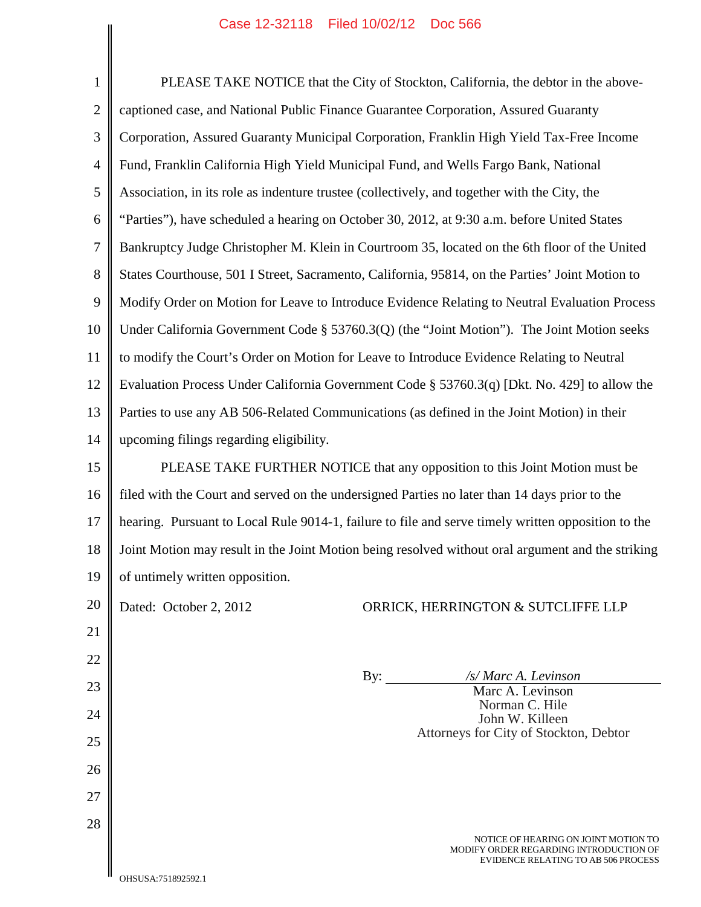| $\mathbf{1}$   | PLEASE TAKE NOTICE that the City of Stockton, California, the debtor in the above-                                    |  |  |  |
|----------------|-----------------------------------------------------------------------------------------------------------------------|--|--|--|
| $\overline{2}$ | captioned case, and National Public Finance Guarantee Corporation, Assured Guaranty                                   |  |  |  |
| 3              | Corporation, Assured Guaranty Municipal Corporation, Franklin High Yield Tax-Free Income                              |  |  |  |
| 4              | Fund, Franklin California High Yield Municipal Fund, and Wells Fargo Bank, National                                   |  |  |  |
| 5              | Association, in its role as indenture trustee (collectively, and together with the City, the                          |  |  |  |
| 6              | "Parties"), have scheduled a hearing on October 30, 2012, at 9:30 a.m. before United States                           |  |  |  |
| $\tau$         | Bankruptcy Judge Christopher M. Klein in Courtroom 35, located on the 6th floor of the United                         |  |  |  |
| 8              | States Courthouse, 501 I Street, Sacramento, California, 95814, on the Parties' Joint Motion to                       |  |  |  |
| 9              | Modify Order on Motion for Leave to Introduce Evidence Relating to Neutral Evaluation Process                         |  |  |  |
| 10             | Under California Government Code § 53760.3(Q) (the "Joint Motion"). The Joint Motion seeks                            |  |  |  |
| 11             | to modify the Court's Order on Motion for Leave to Introduce Evidence Relating to Neutral                             |  |  |  |
| 12             | Evaluation Process Under California Government Code § 53760.3(q) [Dkt. No. 429] to allow the                          |  |  |  |
| 13             | Parties to use any AB 506-Related Communications (as defined in the Joint Motion) in their                            |  |  |  |
| 14             | upcoming filings regarding eligibility.                                                                               |  |  |  |
| 15             | PLEASE TAKE FURTHER NOTICE that any opposition to this Joint Motion must be                                           |  |  |  |
| 16             | filed with the Court and served on the undersigned Parties no later than 14 days prior to the                         |  |  |  |
| 17             | hearing. Pursuant to Local Rule 9014-1, failure to file and serve timely written opposition to the                    |  |  |  |
| 18             | Joint Motion may result in the Joint Motion being resolved without oral argument and the striking                     |  |  |  |
| 19             | of untimely written opposition.                                                                                       |  |  |  |
| 20             | Dated: October 2, 2012<br>ORRICK, HERRINGTON & SUTCLIFFE LLP                                                          |  |  |  |
| 21             |                                                                                                                       |  |  |  |
| 22             |                                                                                                                       |  |  |  |
| 23             | By:<br>/s/ Marc A. Levinson<br>Marc A. Levinson                                                                       |  |  |  |
| 24             | Norman C. Hile<br>John W. Killeen                                                                                     |  |  |  |
| 25             | Attorneys for City of Stockton, Debtor                                                                                |  |  |  |
| 26             |                                                                                                                       |  |  |  |
| 27             |                                                                                                                       |  |  |  |
| 28             |                                                                                                                       |  |  |  |
|                | NOTICE OF HEARING ON JOINT MOTION TO<br>MODIFY ORDER REGARDING INTRODUCTION OF<br>EVIDENCE RELATING TO AB 506 PROCESS |  |  |  |
|                | 740119 3-751902502                                                                                                    |  |  |  |

 $\parallel$